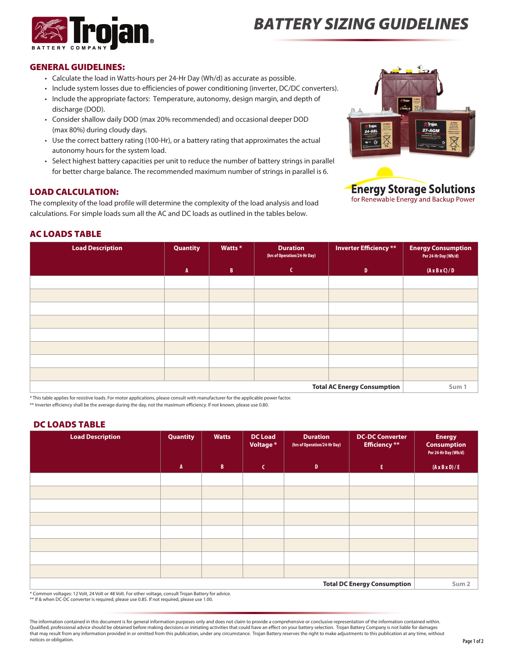

# *Battery Sizing Guidelines*

#### General Guidelines:

- • Calculate the load in Watts-hours per 24-Hr Day (Wh/d) as accurate as possible.
- • Include system losses due to efficiencies of power conditioning (inverter, DC/DC converters).
- Include the appropriate factors: Temperature, autonomy, design margin, and depth of discharge (DOD).
- • Consider shallow daily DOD (max 20% recommended) and occasional deeper DOD (max 80%) during cloudy days.
- Use the correct battery rating (100-Hr), or a battery rating that approximates the actual autonomy hours for the system load.
- • Select highest battery capacities per unit to reduce the number of battery strings in parallel for better charge balance. The recommended maximum number of strings in parallel is 6.

## Load calculation:

The complexity of the load profile will determine the complexity of the load analysis and load calculations. For simple loads sum all the AC and DC loads as outlined in the tables below.





## AC Loads Table

| <b>Load Description</b>            | <b>Quantity</b> | Watts *      | <b>Duration</b><br>(hrs of Operation/24-Hr Day) | <b>Inverter Efficiency</b> ** | <b>Energy Consumption</b><br>Per 24-Hr Day (Wh/d) |
|------------------------------------|-----------------|--------------|-------------------------------------------------|-------------------------------|---------------------------------------------------|
|                                    | $\mathbf{A}$    | $\mathbf{B}$ | C                                               | $\mathbf{D}$                  | $(A \times B \times C)/D$                         |
|                                    |                 |              |                                                 |                               |                                                   |
|                                    |                 |              |                                                 |                               |                                                   |
|                                    |                 |              |                                                 |                               |                                                   |
|                                    |                 |              |                                                 |                               |                                                   |
|                                    |                 |              |                                                 |                               |                                                   |
|                                    |                 |              |                                                 |                               |                                                   |
|                                    |                 |              |                                                 |                               |                                                   |
|                                    |                 |              |                                                 |                               |                                                   |
| <b>Total AC Energy Consumption</b> |                 |              |                                                 |                               | Sum 1                                             |

\* This table applies for resistive loads. For motor applications, please consult with manufacturer for the applicable power factor.

\*\* Inverter efficiency shall be the average during the day, not the maximum efficiency. If not known, please use 0.80.

### DC Loads Table

| <b>Load Description</b>            | Quantity     | <b>Watts</b> | <b>DC Load</b><br>Voltage * | <b>Duration</b><br>(hrs of Operation/24-Hr Day) | <b>DC-DC Converter</b><br><b>Efficiency</b> ** | <b>Energy</b><br><b>Consumption</b><br>Per 24-Hr Day (Wh/d) |
|------------------------------------|--------------|--------------|-----------------------------|-------------------------------------------------|------------------------------------------------|-------------------------------------------------------------|
|                                    | $\mathbf{A}$ | B            | $\mathsf{C}$                | $\mathbf{D}$                                    | $\mathbf{E}$                                   | $(A \times B \times D) / E$                                 |
|                                    |              |              |                             |                                                 |                                                |                                                             |
|                                    |              |              |                             |                                                 |                                                |                                                             |
|                                    |              |              |                             |                                                 |                                                |                                                             |
|                                    |              |              |                             |                                                 |                                                |                                                             |
|                                    |              |              |                             |                                                 |                                                |                                                             |
|                                    |              |              |                             |                                                 |                                                |                                                             |
|                                    |              |              |                             |                                                 |                                                |                                                             |
|                                    |              |              |                             |                                                 |                                                |                                                             |
| <b>Total DC Energy Consumption</b> |              |              |                             |                                                 | Sum <sub>2</sub>                               |                                                             |

\* Common voltages: 12 Volt, 24 Volt or 48 Volt. For other voltage, consult Trojan Battery for advice. \*\* If & when DC-DC converter is required, please use 0.85. If not required, please use 1.00.

The information contained in this document is for general information purposes only and does not claim to provide a comprehensive or conclusive representation of the information contained within. Qualified, professional advice should be obtained before making decisions or initiating activities that could have an effect on your battery selection. Trojan Battery Company is not liable for damages that may result from any information provided in or omitted from this publication, under any circumstance. Trojan Battery reserves the right to make adjustments to this publication at any time, without notices or obligation.